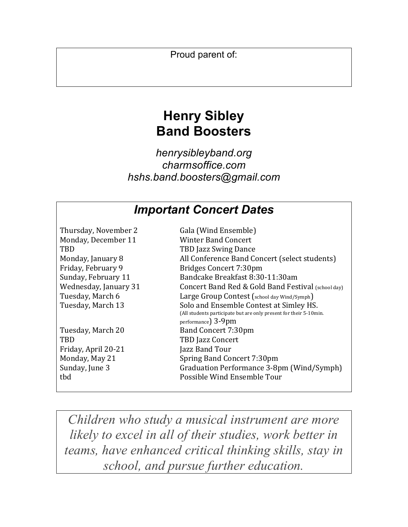Proud parent of:

# **Henry Sibley Band Boosters**

*henrysibleyband.org charmsoffice.com hshs.band.boosters@gmail.com*

## *Important Concert Dates*

| Thursday, November 2  | Gala (Wind Ensemble)                                                                                         |  |  |
|-----------------------|--------------------------------------------------------------------------------------------------------------|--|--|
| Monday, December 11   | Winter Band Concert                                                                                          |  |  |
| <b>TBD</b>            | <b>TBD Jazz Swing Dance</b>                                                                                  |  |  |
| Monday, January 8     | All Conference Band Concert (select students)                                                                |  |  |
| Friday, February 9    | Bridges Concert 7:30pm                                                                                       |  |  |
| Sunday, February 11   | Bandcake Breakfast 8:30-11:30am                                                                              |  |  |
| Wednesday, January 31 | Concert Band Red & Gold Band Festival (school day)                                                           |  |  |
| Tuesday, March 6      | Large Group Contest (school day Wind/Symph)                                                                  |  |  |
| Tuesday, March 13     | Solo and Ensemble Contest at Simley HS.<br>(All students participate but are only present for their 5-10min. |  |  |
|                       | performance) 3-9pm                                                                                           |  |  |
| Tuesday, March 20     | Band Concert 7:30pm                                                                                          |  |  |
| <b>TRD</b>            | TBD Jazz Concert                                                                                             |  |  |
| Friday, April 20-21   | Jazz Band Tour                                                                                               |  |  |
| Monday, May 21        | Spring Band Concert 7:30pm                                                                                   |  |  |
| Sunday, June 3        | Graduation Performance 3-8pm (Wind/Symph)                                                                    |  |  |
| tbd                   | Possible Wind Ensemble Tour                                                                                  |  |  |
|                       |                                                                                                              |  |  |

*Children who study a musical instrument are more likely to excel in all of their studies, work better in teams, have enhanced critical thinking skills, stay in school, and pursue further education.*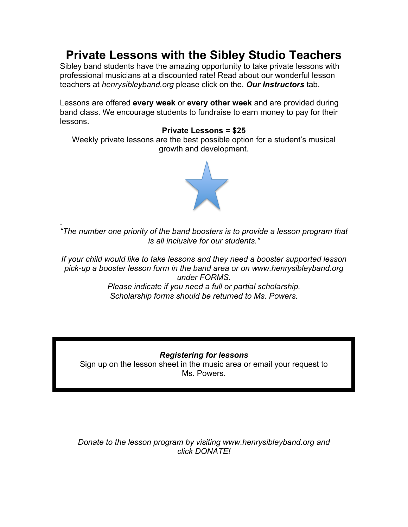# **Private Lessons with the Sibley Studio Teachers**

Sibley band students have the amazing opportunity to take private lessons with professional musicians at a discounted rate! Read about our wonderful lesson teachers at *henrysibleyband.org* please click on the, *Our Instructors* tab.

Lessons are offered **every week** or **every other week** and are provided during band class. We encourage students to fundraise to earn money to pay for their lessons.

### **Private Lessons = \$25**

Weekly private lessons are the best possible option for a student's musical growth and development.



. *"The number one priority of the band boosters is to provide a lesson program that is all inclusive for our students."*

*If your child would like to take lessons and they need a booster supported lesson pick-up a booster lesson form in the band area or on www.henrysibleyband.org under FORMS. Please indicate if you need a full or partial scholarship. Scholarship forms should be returned to Ms. Powers.* 

### *Registering for lessons*

Sign up on the lesson sheet in the music area or email your request to Ms. Powers.

*Donate to the lesson program by visiting www.henrysibleyband.org and click DONATE!*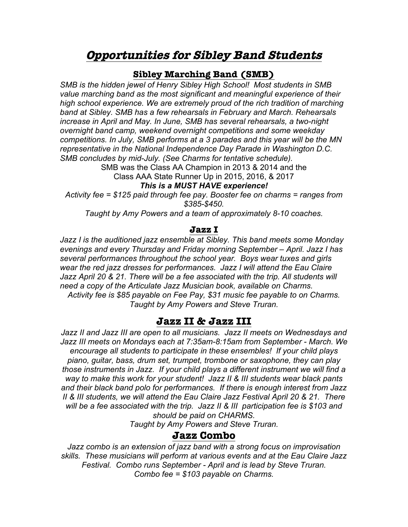## **Opportunities for Sibley Band Students**

### **Sibley Marching Band (SMB)**

*SMB is the hidden jewel of Henry Sibley High School! Most students in SMB value marching band as the most significant and meaningful experience of their high school experience. We are extremely proud of the rich tradition of marching band at Sibley. SMB has a few rehearsals in February and March. Rehearsals increase in April and May. In June, SMB has several rehearsals, a two-night overnight band camp, weekend overnight competitions and some weekday competitions. In July, SMB performs at a 3 parades and this year will be the MN representative in the National Independence Day Parade in Washington D.C. SMB concludes by mid-July. (See Charms for tentative schedule).* 

> SMB was the Class AA Champion in 2013 & 2014 and the Class AAA State Runner Up in 2015, 2016, & 2017

### *This is a MUST HAVE experience!*

*Activity fee = \$125 paid through fee pay. Booster fee on charms = ranges from \$385-\$450.* 

*Taught by Amy Powers and a team of approximately 8-10 coaches.*

### **Jazz I**

*Jazz I is the auditioned jazz ensemble at Sibley. This band meets some Monday evenings and every Thursday and Friday morning September – April. Jazz I has several performances throughout the school year. Boys wear tuxes and girls wear the red jazz dresses for performances. Jazz I will attend the Eau Claire*  Jazz April 20 & 21. There will be a fee associated with the trip. All students will *need a copy of the Articulate Jazz Musician book, available on Charms. Activity fee is \$85 payable on Fee Pay, \$31 music fee payable to on Charms. Taught by Amy Powers and Steve Truran.*

### **Jazz II & Jazz III**

*Jazz II and Jazz III are open to all musicians. Jazz II meets on Wednesdays and Jazz III meets on Mondays each at 7:35am-8:15am from September - March. We encourage all students to participate in these ensembles! If your child plays piano, guitar, bass, drum set, trumpet, trombone or saxophone, they can play those instruments in Jazz. If your child plays a different instrument we will find a way to make this work for your student! Jazz II & III students wear black pants and their black band polo for performances. If there is enough interest from Jazz II & III students, we will attend the Eau Claire Jazz Festival April 20 & 21. There will be a fee associated with the trip. Jazz II & III participation fee is \$103 and should be paid on CHARMS.*

*Taught by Amy Powers and Steve Truran.*

### **Jazz Combo**

*Jazz combo is an extension of jazz band with a strong focus on improvisation skills. These musicians will perform at various events and at the Eau Claire Jazz Festival. Combo runs September - April and is lead by Steve Truran. Combo fee = \$103 payable on Charms.*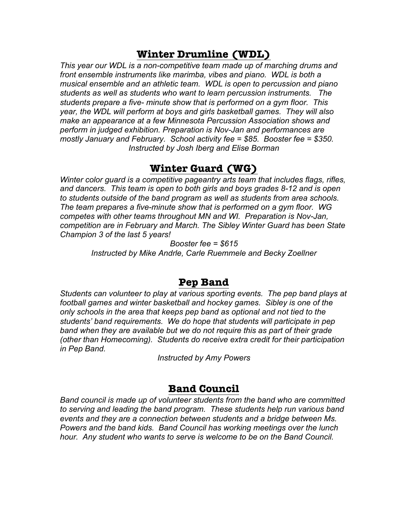## **Winter Drumline (WDL)**

*This year our WDL is a non-competitive team made up of marching drums and front ensemble instruments like marimba, vibes and piano. WDL is both a musical ensemble and an athletic team. WDL is open to percussion and piano students as well as students who want to learn percussion instruments. The students prepare a five- minute show that is performed on a gym floor. This year, the WDL will perform at boys and girls basketball games. They will also make an appearance at a few Minnesota Percussion Association shows and perform in judged exhibition. Preparation is Nov-Jan and performances are mostly January and February. School activity fee = \$85. Booster fee = \$350. Instructed by Josh Iberg and Elise Borman*

## **Winter Guard (WG)**

*Winter color guard is a competitive pageantry arts team that includes flags, rifles, and dancers. This team is open to both girls and boys grades 8-12 and is open to students outside of the band program as well as students from area schools. The team prepares a five-minute show that is performed on a gym floor. WG competes with other teams throughout MN and WI. Preparation is Nov-Jan, competition are in February and March. The Sibley Winter Guard has been State Champion 3 of the last 5 years!*

*Booster fee = \$615*

*Instructed by Mike Andrle, Carle Ruemmele and Becky Zoellner*

## **Pep Band**

*Students can volunteer to play at various sporting events. The pep band plays at football games and winter basketball and hockey games. Sibley is one of the only schools in the area that keeps pep band as optional and not tied to the students' band requirements. We do hope that students will participate in pep band when they are available but we do not require this as part of their grade (other than Homecoming). Students do receive extra credit for their participation in Pep Band.*

*Instructed by Amy Powers*

### **Band Council**

*Band council is made up of volunteer students from the band who are committed to serving and leading the band program. These students help run various band events and they are a connection between students and a bridge between Ms. Powers and the band kids. Band Council has working meetings over the lunch hour. Any student who wants to serve is welcome to be on the Band Council.*